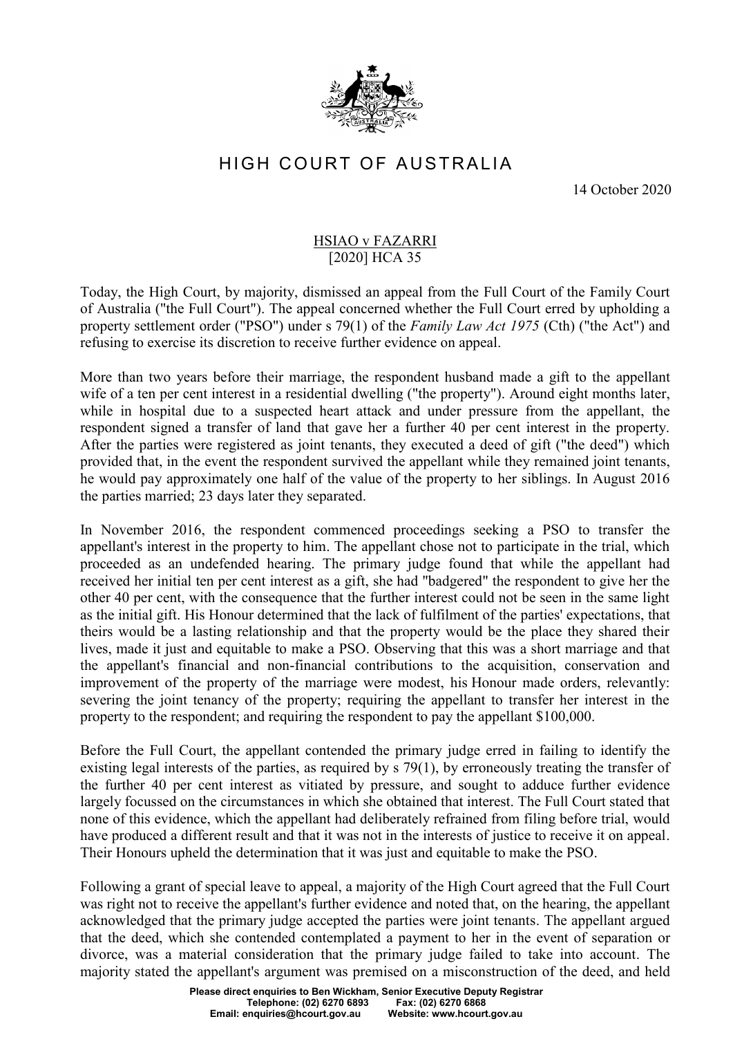

## HIGH COURT OF AUSTRALIA

14 October 2020

## HSIAO v FAZARRI [2020] HCA 35

Today, the High Court, by majority, dismissed an appeal from the Full Court of the Family Court of Australia ("the Full Court"). The appeal concerned whether the Full Court erred by upholding a property settlement order ("PSO") under s 79(1) of the *Family Law Act 1975* (Cth) ("the Act") and refusing to exercise its discretion to receive further evidence on appeal.

More than two years before their marriage, the respondent husband made a gift to the appellant wife of a ten per cent interest in a residential dwelling ("the property"). Around eight months later, while in hospital due to a suspected heart attack and under pressure from the appellant, the respondent signed a transfer of land that gave her a further 40 per cent interest in the property. After the parties were registered as joint tenants, they executed a deed of gift ("the deed") which provided that, in the event the respondent survived the appellant while they remained joint tenants, he would pay approximately one half of the value of the property to her siblings. In August 2016 the parties married; 23 days later they separated.

In November 2016, the respondent commenced proceedings seeking a PSO to transfer the appellant's interest in the property to him. The appellant chose not to participate in the trial, which proceeded as an undefended hearing. The primary judge found that while the appellant had received her initial ten per cent interest as a gift, she had "badgered" the respondent to give her the other 40 per cent, with the consequence that the further interest could not be seen in the same light as the initial gift. His Honour determined that the lack of fulfilment of the parties' expectations, that theirs would be a lasting relationship and that the property would be the place they shared their lives, made it just and equitable to make a PSO. Observing that this was a short marriage and that the appellant's financial and non-financial contributions to the acquisition, conservation and improvement of the property of the marriage were modest, his Honour made orders, relevantly: severing the joint tenancy of the property; requiring the appellant to transfer her interest in the property to the respondent; and requiring the respondent to pay the appellant \$100,000.

Before the Full Court, the appellant contended the primary judge erred in failing to identify the existing legal interests of the parties, as required by s 79(1), by erroneously treating the transfer of the further 40 per cent interest as vitiated by pressure, and sought to adduce further evidence largely focussed on the circumstances in which she obtained that interest. The Full Court stated that none of this evidence, which the appellant had deliberately refrained from filing before trial, would have produced a different result and that it was not in the interests of justice to receive it on appeal. Their Honours upheld the determination that it was just and equitable to make the PSO.

Following a grant of special leave to appeal, a majority of the High Court agreed that the Full Court was right not to receive the appellant's further evidence and noted that, on the hearing, the appellant acknowledged that the primary judge accepted the parties were joint tenants. The appellant argued that the deed, which she contended contemplated a payment to her in the event of separation or divorce, was a material consideration that the primary judge failed to take into account. The majority stated the appellant's argument was premised on a misconstruction of the deed, and held

> **Please direct enquiries to Ben Wickham, Senior Executive Deputy Registrar Telephone: (02) 6270 6893 Fax: (02) 6270 6868 Email: enquiries@hcourt.gov.au**